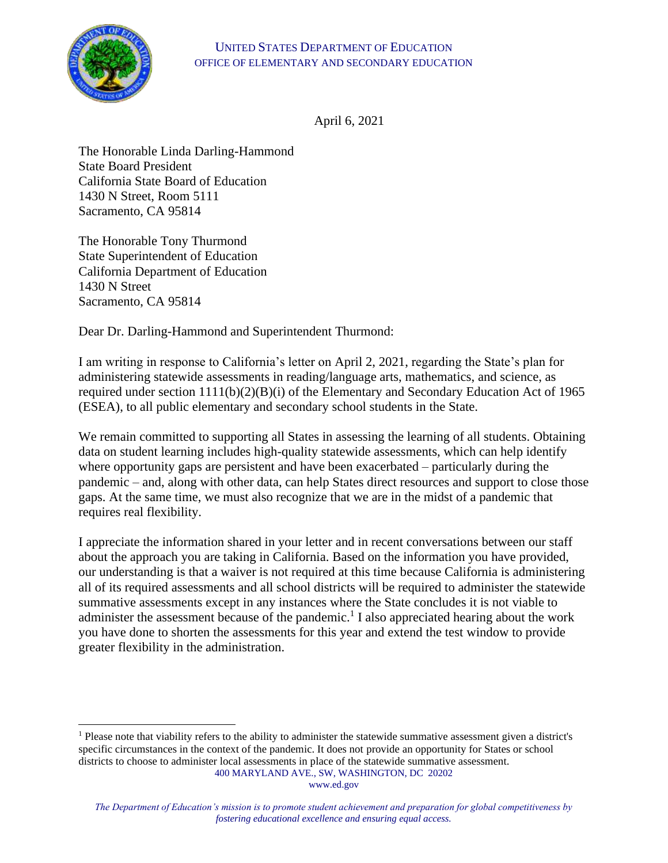

April 6, 2021

The Honorable Linda Darling-Hammond State Board President California State Board of Education 1430 N Street, Room 5111 Sacramento, CA 95814

The Honorable Tony Thurmond State Superintendent of Education California Department of Education 1430 N Street Sacramento, CA 95814

Dear Dr. Darling-Hammond and Superintendent Thurmond:

I am writing in response to California's letter on April 2, 2021, regarding the State's plan for administering statewide assessments in reading/language arts, mathematics, and science, as required under section 1111(b)(2)(B)(i) of the Elementary and Secondary Education Act of 1965 (ESEA), to all public elementary and secondary school students in the State.

We remain committed to supporting all States in assessing the learning of all students. Obtaining data on student learning includes high-quality statewide assessments, which can help identify where opportunity gaps are persistent and have been exacerbated – particularly during the pandemic – and, along with other data, can help States direct resources and support to close those gaps. At the same time, we must also recognize that we are in the midst of a pandemic that requires real flexibility.

I appreciate the information shared in your letter and in recent conversations between our staff about the approach you are taking in California. Based on the information you have provided, our understanding is that a waiver is not required at this time because California is administering all of its required assessments and all school districts will be required to administer the statewide summative assessments except in any instances where the State concludes it is not viable to administer the assessment because of the pandemic.<sup>1</sup> I also appreciated hearing about the work you have done to shorten the assessments for this year and extend the test window to provide greater flexibility in the administration.

<sup>400</sup> MARYLAND AVE., SW, WASHINGTON, DC 20202 <sup>1</sup> Please note that viability refers to the ability to administer the statewide summative assessment given a district's specific circumstances in the context of the pandemic. It does not provide an opportunity for States or school districts to choose to administer local assessments in place of the statewide summative assessment.